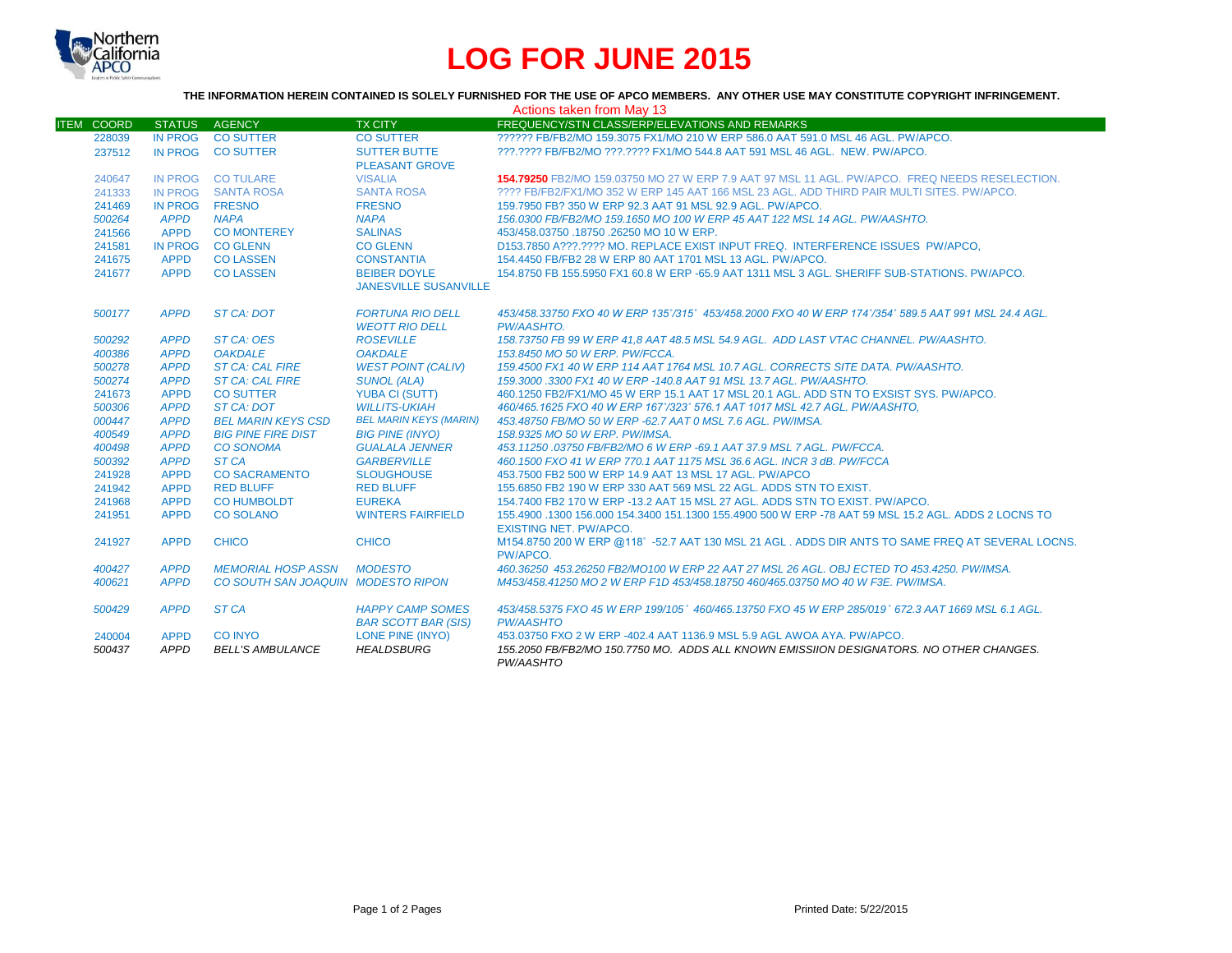

# **LOG FOR JUNE 2015**

### **THE INFORMATION HEREIN CONTAINED IS SOLELY FURNISHED FOR THE USE OF APCO MEMBERS. ANY OTHER USE MAY CONSTITUTE COPYRIGHT INFRINGEMENT.**

| Actions taken from May 13 |                |                                    |                               |                                                                                                                                       |  |  |  |
|---------------------------|----------------|------------------------------------|-------------------------------|---------------------------------------------------------------------------------------------------------------------------------------|--|--|--|
| <b>ITEM COORD</b>         | <b>STATUS</b>  | AGENCY                             | <b>TX CITY</b>                | FREQUENCY/STN CLASS/ERP/ELEVATIONS AND REMARKS                                                                                        |  |  |  |
| 228039                    | <b>IN PROG</b> | <b>CO SUTTER</b>                   | <b>CO SUTTER</b>              | 222222 FB/FB2/MO 159.3075 FX1/MO 210 W ERP 586.0 AAT 591.0 MSL 46 AGL, PW/APCO.                                                       |  |  |  |
| 237512                    |                | IN PROG CO SUTTER                  | <b>SUTTER BUTTE</b>           | ???.???? FB/FB2/MO ???.???? FX1/MO 544.8 AAT 591 MSL 46 AGL. NEW. PW/APCO.                                                            |  |  |  |
|                           |                |                                    | <b>PLEASANT GROVE</b>         |                                                                                                                                       |  |  |  |
| 240647                    |                | IN PROG CO TULARE                  | <b>VISALIA</b>                | 154.79250 FB2/MO 159.03750 MO 27 W ERP 7.9 AAT 97 MSL 11 AGL, PW/APCO. FREQ NEEDS RESELECTION.                                        |  |  |  |
| 241333                    |                | IN PROG SANTA ROSA                 | <b>SANTA ROSA</b>             | ???? FB/FB2/FX1/MO 352 W ERP 145 AAT 166 MSL 23 AGL. ADD THIRD PAIR MULTI SITES, PW/APCO.                                             |  |  |  |
| 241469                    | <b>IN PROG</b> | <b>FRESNO</b>                      | <b>FRESNO</b>                 | 159.7950 FB? 350 W ERP 92.3 AAT 91 MSL 92.9 AGL, PW/APCO.                                                                             |  |  |  |
| 500264                    | <b>APPD</b>    | <b>NAPA</b>                        | <b>NAPA</b>                   | 156.0300 FB/FB2/MO 159.1650 MO 100 W ERP 45 AAT 122 MSL 14 AGL. PW/AASHTO.                                                            |  |  |  |
| 241566                    | <b>APPD</b>    | <b>CO MONTEREY</b>                 | <b>SALINAS</b>                | 453/458.03750 .18750 .26250 MO 10 W ERP.                                                                                              |  |  |  |
| 241581                    | <b>IN PROG</b> | <b>CO GLENN</b>                    | <b>CO GLENN</b>               | D153.7850 A???.???? MO. REPLACE EXIST INPUT FREQ. INTERFERENCE ISSUES PW/APCO.                                                        |  |  |  |
| 241675                    | <b>APPD</b>    | <b>CO LASSEN</b>                   | <b>CONSTANTIA</b>             | 154,4450 FB/FB2 28 W ERP 80 AAT 1701 MSL 13 AGL, PW/APCO.                                                                             |  |  |  |
| 241677                    | <b>APPD</b>    | <b>CO LASSEN</b>                   | <b>BEIBER DOYLE</b>           | 154.8750 FB 155.5950 FX1 60.8 W ERP -65.9 AAT 1311 MSL 3 AGL. SHERIFF SUB-STATIONS. PW/APCO.                                          |  |  |  |
|                           |                |                                    | <b>JANESVILLE SUSANVILLE</b>  |                                                                                                                                       |  |  |  |
| 500177                    | <b>APPD</b>    | <b>ST CA: DOT</b>                  | <b>FORTUNA RIO DELL</b>       | 453/458.33750 FXO 40 W ERP 135°/315° 453/458.2000 FXO 40 W ERP 174°/354° 589.5 AAT 991 MSL 24.4 AGL.                                  |  |  |  |
|                           |                |                                    | <b>WEOTT RIO DELL</b>         | PW/AASHTO.                                                                                                                            |  |  |  |
| 500292                    | <b>APPD</b>    | ST CA: OES                         | <b>ROSEVILLE</b>              | 158.73750 FB 99 W ERP 41.8 AAT 48.5 MSL 54.9 AGL, ADD LAST VTAC CHANNEL, PW/AASHTO.                                                   |  |  |  |
| 400386                    | <b>APPD</b>    | <b>OAKDALE</b>                     | <b>OAKDALE</b>                | 153.8450 MO 50 W ERP. PW/FCCA.                                                                                                        |  |  |  |
| 500278                    | <b>APPD</b>    | <b>ST CA: CAL FIRE</b>             | <b>WEST POINT (CALIV)</b>     | 159.4500 FX1 40 W ERP 114 AAT 1764 MSL 10.7 AGL, CORRECTS SITE DATA, PW/AASHTO,                                                       |  |  |  |
| 500274                    | <b>APPD</b>    | <b>ST CA: CAL FIRE</b>             | <b>SUNOL (ALA)</b>            | 159,3000,3300 FX1 40 W ERP -140.8 AAT 91 MSL 13.7 AGL, PW/AASHTO,                                                                     |  |  |  |
| 241673                    | <b>APPD</b>    | <b>CO SUTTER</b>                   | <b>YUBA CI (SUTT)</b>         | 460.1250 FB2/FX1/MO 45 W ERP 15.1 AAT 17 MSL 20.1 AGL. ADD STN TO EXSIST SYS. PW/APCO.                                                |  |  |  |
| 500306                    | <b>APPD</b>    | ST CA: DOT                         | <b>WILLITS-UKIAH</b>          | 460/465.1625 FXO 40 W ERP 167°/323° 576.1 AAT 1017 MSL 42.7 AGL. PW/AASHTO.                                                           |  |  |  |
| 000447                    | <b>APPD</b>    | <b>BEL MARIN KEYS CSD</b>          | <b>BEL MARIN KEYS (MARIN)</b> | 453.48750 FB/MO 50 W ERP -62.7 AAT 0 MSL 7.6 AGL, PW/IMSA.                                                                            |  |  |  |
| 400549                    | <b>APPD</b>    | <b>BIG PINE FIRE DIST</b>          | <b>BIG PINE (INYO)</b>        | 158.9325 MO 50 W ERP. PW/IMSA.                                                                                                        |  |  |  |
| 400498                    | <b>APPD</b>    | <b>CO SONOMA</b>                   | <b>GUALALA JENNER</b>         | 453.11250.03750 FB/FB2/MO 6 W ERP -69.1 AAT 37.9 MSL 7 AGL, PW/FCCA.                                                                  |  |  |  |
| 500392                    | <b>APPD</b>    | ST CA                              | <b>GARBERVILLE</b>            | 460.1500 FXO 41 W ERP 770.1 AAT 1175 MSL 36.6 AGL. INCR 3 dB, PW/FCCA                                                                 |  |  |  |
| 241928                    | <b>APPD</b>    | <b>CO SACRAMENTO</b>               | <b>SLOUGHOUSE</b>             | 453.7500 FB2 500 W ERP 14.9 AAT 13 MSL 17 AGL, PW/APCO                                                                                |  |  |  |
| 241942                    | <b>APPD</b>    | <b>RED BLUFF</b>                   | <b>RED BLUFF</b>              | 155,6850 FB2 190 W ERP 330 AAT 569 MSL 22 AGL, ADDS STN TO EXIST.                                                                     |  |  |  |
| 241968                    | <b>APPD</b>    | <b>CO HUMBOLDT</b>                 | <b>EUREKA</b>                 | 154,7400 FB2 170 W ERP -13.2 AAT 15 MSL 27 AGL. ADDS STN TO EXIST, PW/APCO.                                                           |  |  |  |
| 241951                    | <b>APPD</b>    | <b>CO SOLANO</b>                   | <b>WINTERS FAIRFIELD</b>      | 155,4900 .1300 156,000 154,3400 151,1300 155,4900 500 W ERP -78 AAT 59 MSL 15.2 AGL, ADDS 2 LOCNS TO<br><b>EXISTING NET. PW/APCO.</b> |  |  |  |
| 241927                    | <b>APPD</b>    | <b>CHICO</b>                       | <b>CHICO</b>                  | M154.8750 200 W ERP @118°-52.7 AAT 130 MSL 21 AGL, ADDS DIR ANTS TO SAME FREQ AT SEVERAL LOCNS.<br>PW/APCO.                           |  |  |  |
| 400427                    | <b>APPD</b>    | <b>MEMORIAL HOSP ASSN</b>          | <b>MODESTO</b>                | 460.36250 453.26250 FB2/MO100 W ERP 22 AAT 27 MSL 26 AGL. OBJ ECTED TO 453.4250, PW/IMSA.                                             |  |  |  |
| 400621                    | <b>APPD</b>    | CO SOUTH SAN JOAQUIN MODESTO RIPON |                               | M453/458.41250 MO 2 W ERP F1D 453/458.18750 460/465.03750 MO 40 W F3E. PW/IMSA.                                                       |  |  |  |
|                           |                |                                    |                               |                                                                                                                                       |  |  |  |
| 500429                    | <b>APPD</b>    | ST <sub>CA</sub>                   | <b>HAPPY CAMP SOMES</b>       | 453/458.5375 FXO 45 W ERP 199/105° 460/465.13750 FXO 45 W ERP 285/019° 672.3 AAT 1669 MSL 6.1 AGL.                                    |  |  |  |
|                           |                |                                    | <b>BAR SCOTT BAR (SIS)</b>    | <b>PW/AASHTO</b>                                                                                                                      |  |  |  |
| 240004                    | <b>APPD</b>    | <b>CO INYO</b>                     | LONE PINE (INYO)              | 453.03750 FXO 2 W ERP -402.4 AAT 1136.9 MSL 5.9 AGL AWOA AYA, PW/APCO.                                                                |  |  |  |
| 500437                    | <b>APPD</b>    | <b>BELL'S AMBULANCE</b>            | <b>HEALDSBURG</b>             | 155.2050 FB/FB2/MO 150.7750 MO. ADDS ALL KNOWN EMISSIION DESIGNATORS. NO OTHER CHANGES.<br>PW/AASHTO                                  |  |  |  |